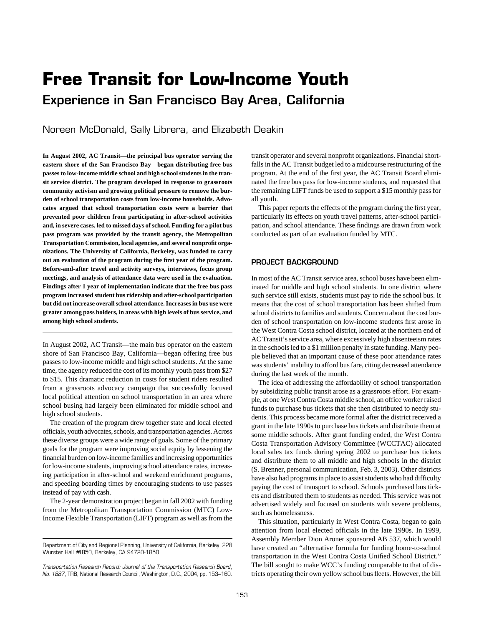# **Free Transit for Low-Income Youth Experience in San Francisco Bay Area, California**

Noreen McDonald, Sally Librera, and Elizabeth Deakin

**In August 2002, AC Transit—the principal bus operator serving the eastern shore of the San Francisco Bay—began distributing free bus passes to low-income middle school and high school students in the transit service district. The program developed in response to grassroots community activism and growing political pressure to remove the burden of school transportation costs from low-income households. Advocates argued that school transportation costs were a barrier that prevented poor children from participating in after-school activities and, in severe cases, led to missed days of school. Funding for a pilot bus pass program was provided by the transit agency, the Metropolitan Transportation Commission, local agencies, and several nonprofit organizations. The University of California, Berkeley, was funded to carry out an evaluation of the program during the first year of the program. Before-and-after travel and activity surveys, interviews, focus group meetings, and analysis of attendance data were used in the evaluation. Findings after 1 year of implementation indicate that the free bus pass program increased student bus ridership and after-school participation but did not increase overall school attendance. Increases in bus use were greater among pass holders, in areas with high levels of bus service, and among high school students.**

In August 2002, AC Transit—the main bus operator on the eastern shore of San Francisco Bay, California—began offering free bus passes to low-income middle and high school students. At the same time, the agency reduced the cost of its monthly youth pass from \$27 to \$15. This dramatic reduction in costs for student riders resulted from a grassroots advocacy campaign that successfully focused local political attention on school transportation in an area where school busing had largely been eliminated for middle school and high school students.

The creation of the program drew together state and local elected officials, youth advocates, schools, and transportation agencies. Across these diverse groups were a wide range of goals. Some of the primary goals for the program were improving social equity by lessening the financial burden on low-income families and increasing opportunities for low-income students, improving school attendance rates, increasing participation in after-school and weekend enrichment programs, and speeding boarding times by encouraging students to use passes instead of pay with cash.

The 2-year demonstration project began in fall 2002 with funding from the Metropolitan Transportation Commission (MTC) Low-Income Flexible Transportation (LIFT) program as well as from the transit operator and several nonprofit organizations. Financial shortfalls in the AC Transit budget led to a midcourse restructuring of the program. At the end of the first year, the AC Transit Board eliminated the free bus pass for low-income students, and requested that the remaining LIFT funds be used to support a \$15 monthly pass for all youth.

This paper reports the effects of the program during the first year, particularly its effects on youth travel patterns, after-school participation, and school attendance. These findings are drawn from work conducted as part of an evaluation funded by MTC.

# **PROJECT BACKGROUND**

In most of the AC Transit service area, school buses have been eliminated for middle and high school students. In one district where such service still exists, students must pay to ride the school bus. It means that the cost of school transportation has been shifted from school districts to families and students. Concern about the cost burden of school transportation on low-income students first arose in the West Contra Costa school district, located at the northern end of AC Transit's service area, where excessively high absenteeism rates in the schools led to a \$1 million penalty in state funding. Many people believed that an important cause of these poor attendance rates was students' inability to afford bus fare, citing decreased attendance during the last week of the month.

The idea of addressing the affordability of school transportation by subsidizing public transit arose as a grassroots effort. For example, at one West Contra Costa middle school, an office worker raised funds to purchase bus tickets that she then distributed to needy students. This process became more formal after the district received a grant in the late 1990s to purchase bus tickets and distribute them at some middle schools. After grant funding ended, the West Contra Costa Transportation Advisory Committee (WCCTAC) allocated local sales tax funds during spring 2002 to purchase bus tickets and distribute them to all middle and high schools in the district (S. Brenner, personal communication, Feb. 3, 2003). Other districts have also had programs in place to assist students who had difficulty paying the cost of transport to school. Schools purchased bus tickets and distributed them to students as needed. This service was not advertised widely and focused on students with severe problems, such as homelessness.

This situation, particularly in West Contra Costa, began to gain attention from local elected officials in the late 1990s. In 1999, Assembly Member Dion Aroner sponsored AB 537, which would have created an "alternative formula for funding home-to-school transportation in the West Contra Costa Unified School District." The bill sought to make WCC's funding comparable to that of districts operating their own yellow school bus fleets. However, the bill

Department of City and Regional Planning, University of California, Berkeley, 228 Wurster Hall #1850, Berkeley, CA 94720-1850.

*Transportation Research Record: Journal of the Transportation Research Board, No. 1887,* TRB, National Research Council, Washington, D.C., 2004, pp. 153–160.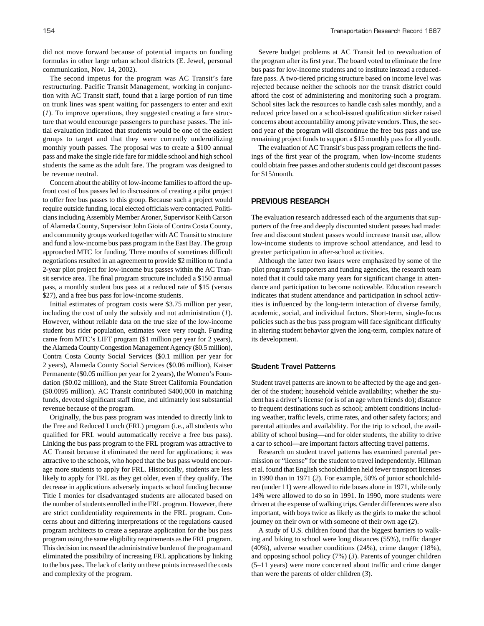did not move forward because of potential impacts on funding formulas in other large urban school districts (E. Jewel, personal communication, Nov. 14, 2002).

The second impetus for the program was AC Transit's fare restructuring. Pacific Transit Management, working in conjunction with AC Transit staff, found that a large portion of run time on trunk lines was spent waiting for passengers to enter and exit (*1*). To improve operations, they suggested creating a fare structure that would encourage passengers to purchase passes. The initial evaluation indicated that students would be one of the easiest groups to target and that they were currently underutilizing monthly youth passes. The proposal was to create a \$100 annual pass and make the single ride fare for middle school and high school students the same as the adult fare. The program was designed to be revenue neutral.

Concern about the ability of low-income families to afford the upfront cost of bus passes led to discussions of creating a pilot project to offer free bus passes to this group. Because such a project would require outside funding, local elected officials were contacted. Politicians including Assembly Member Aroner, Supervisor Keith Carson of Alameda County, Supervisor John Gioia of Contra Costa County, and community groups worked together with AC Transit to structure and fund a low-income bus pass program in the East Bay. The group approached MTC for funding. Three months of sometimes difficult negotiations resulted in an agreement to provide \$2 million to fund a 2-year pilot project for low-income bus passes within the AC Transit service area. The final program structure included a \$150 annual pass, a monthly student bus pass at a reduced rate of \$15 (versus \$27), and a free bus pass for low-income students.

Initial estimates of program costs were \$3.75 million per year, including the cost of only the subsidy and not administration (*1*). However, without reliable data on the true size of the low-income student bus rider population, estimates were very rough. Funding came from MTC's LIFT program (\$1 million per year for 2 years), the Alameda County Congestion Management Agency (\$0.5 million), Contra Costa County Social Services (\$0.1 million per year for 2 years), Alameda County Social Services (\$0.06 million), Kaiser Permanente (\$0.05 million per year for 2 years), the Women's Foundation (\$0.02 million), and the State Street California Foundation (\$0.0095 million). AC Transit contributed \$400,000 in matching funds, devoted significant staff time, and ultimately lost substantial revenue because of the program.

Originally, the bus pass program was intended to directly link to the Free and Reduced Lunch (FRL) program (i.e., all students who qualified for FRL would automatically receive a free bus pass). Linking the bus pass program to the FRL program was attractive to AC Transit because it eliminated the need for applications; it was attractive to the schools, who hoped that the bus pass would encourage more students to apply for FRL. Historically, students are less likely to apply for FRL as they get older, even if they qualify. The decrease in applications adversely impacts school funding because Title I monies for disadvantaged students are allocated based on the number of students enrolled in the FRL program. However, there are strict confidentiality requirements in the FRL program. Concerns about and differing interpretations of the regulations caused program architects to create a separate application for the bus pass program using the same eligibility requirements as the FRL program. This decision increased the administrative burden of the program and eliminated the possibility of increasing FRL applications by linking to the bus pass. The lack of clarity on these points increased the costs and complexity of the program.

Severe budget problems at AC Transit led to reevaluation of the program after its first year. The board voted to eliminate the free bus pass for low-income students and to institute instead a reducedfare pass. A two-tiered pricing structure based on income level was rejected because neither the schools nor the transit district could afford the cost of administering and monitoring such a program. School sites lack the resources to handle cash sales monthly, and a reduced price based on a school-issued qualification sticker raised concerns about accountability among private vendors. Thus, the second year of the program will discontinue the free bus pass and use remaining project funds to support a \$15 monthly pass for all youth.

The evaluation of AC Transit's bus pass program reflects the findings of the first year of the program, when low-income students could obtain free passes and other students could get discount passes for \$15/month.

# **PREVIOUS RESEARCH**

The evaluation research addressed each of the arguments that supporters of the free and deeply discounted student passes had made: free and discount student passes would increase transit use, allow low-income students to improve school attendance, and lead to greater participation in after-school activities.

Although the latter two issues were emphasized by some of the pilot program's supporters and funding agencies, the research team noted that it could take many years for significant change in attendance and participation to become noticeable. Education research indicates that student attendance and participation in school activities is influenced by the long-term interaction of diverse family, academic, social, and individual factors. Short-term, single-focus policies such as the bus pass program will face significant difficulty in altering student behavior given the long-term, complex nature of its development.

#### **Student Travel Patterns**

Student travel patterns are known to be affected by the age and gender of the student; household vehicle availability; whether the student has a driver's license (or is of an age when friends do); distance to frequent destinations such as school; ambient conditions including weather, traffic levels, crime rates, and other safety factors; and parental attitudes and availability. For the trip to school, the availability of school busing—and for older students, the ability to drive a car to school—are important factors affecting travel patterns.

Research on student travel patterns has examined parental permission or "license" for the student to travel independently. Hillman et al. found that English schoolchildren held fewer transport licenses in 1990 than in 1971 (*2*). For example, 50% of junior schoolchildren (under 11) were allowed to ride buses alone in 1971, while only 14% were allowed to do so in 1991. In 1990, more students were driven at the expense of walking trips. Gender differences were also important, with boys twice as likely as the girls to make the school journey on their own or with someone of their own age (*2*).

A study of U.S. children found that the biggest barriers to walking and biking to school were long distances (55%), traffic danger (40%), adverse weather conditions (24%), crime danger (18%), and opposing school policy (7%) (*3*). Parents of younger children (5–11 years) were more concerned about traffic and crime danger than were the parents of older children (*3*).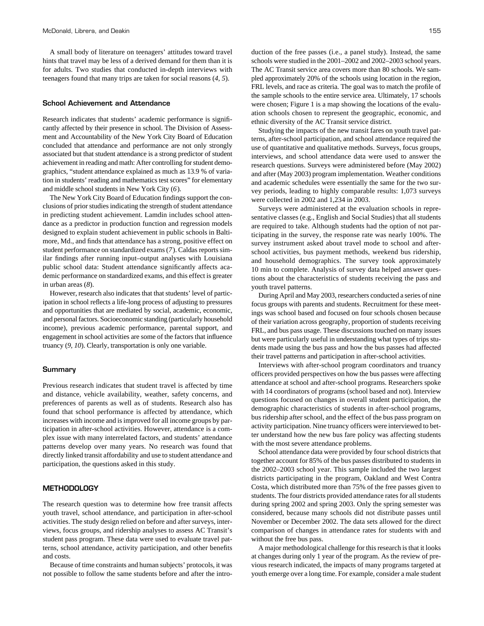A small body of literature on teenagers' attitudes toward travel hints that travel may be less of a derived demand for them than it is for adults. Two studies that conducted in-depth interviews with teenagers found that many trips are taken for social reasons (*4, 5*).

## **School Achievement and Attendance**

Research indicates that students' academic performance is significantly affected by their presence in school. The Division of Assessment and Accountability of the New York City Board of Education concluded that attendance and performance are not only strongly associated but that student attendance is a strong predictor of student achievement in reading and math: After controlling for student demographics, "student attendance explained as much as 13.9 % of variation in students' reading and mathematics test scores" for elementary and middle school students in New York City (*6*).

The New York City Board of Education findings support the conclusions of prior studies indicating the strength of student attendance in predicting student achievement. Lamdin includes school attendance as a predictor in production function and regression models designed to explain student achievement in public schools in Baltimore, Md., and finds that attendance has a strong, positive effect on student performance on standardized exams (*7*). Caldas reports similar findings after running input–output analyses with Louisiana public school data: Student attendance significantly affects academic performance on standardized exams, and this effect is greater in urban areas (*8*).

However, research also indicates that that students' level of participation in school reflects a life-long process of adjusting to pressures and opportunities that are mediated by social, academic, economic, and personal factors. Socioeconomic standing (particularly household income), previous academic performance, parental support, and engagement in school activities are some of the factors that influence truancy (*9, 10*). Clearly, transportation is only one variable.

## **Summary**

Previous research indicates that student travel is affected by time and distance, vehicle availability, weather, safety concerns, and preferences of parents as well as of students. Research also has found that school performance is affected by attendance, which increases with income and is improved for all income groups by participation in after-school activities. However, attendance is a complex issue with many interrelated factors, and students' attendance patterns develop over many years. No research was found that directly linked transit affordability and use to student attendance and participation, the questions asked in this study.

## **METHODOLOGY**

The research question was to determine how free transit affects youth travel, school attendance, and participation in after-school activities. The study design relied on before and after surveys, interviews, focus groups, and ridership analyses to assess AC Transit's student pass program. These data were used to evaluate travel patterns, school attendance, activity participation, and other benefits and costs.

Because of time constraints and human subjects' protocols, it was not possible to follow the same students before and after the introduction of the free passes (i.e., a panel study). Instead, the same schools were studied in the 2001–2002 and 2002–2003 school years. The AC Transit service area covers more than 80 schools. We sampled approximately 20% of the schools using location in the region, FRL levels, and race as criteria. The goal was to match the profile of the sample schools to the entire service area. Ultimately, 17 schools were chosen; Figure 1 is a map showing the locations of the evaluation schools chosen to represent the geographic, economic, and ethnic diversity of the AC Transit service district.

Studying the impacts of the new transit fares on youth travel patterns, after-school participation, and school attendance required the use of quantitative and qualitative methods. Surveys, focus groups, interviews, and school attendance data were used to answer the research questions. Surveys were administered before (May 2002) and after (May 2003) program implementation. Weather conditions and academic schedules were essentially the same for the two survey periods, leading to highly comparable results: 1,073 surveys were collected in 2002 and 1,234 in 2003.

Surveys were administered at the evaluation schools in representative classes (e.g., English and Social Studies) that all students are required to take. Although students had the option of not participating in the survey, the response rate was nearly 100%. The survey instrument asked about travel mode to school and afterschool activities, bus payment methods, weekend bus ridership, and household demographics. The survey took approximately 10 min to complete. Analysis of survey data helped answer questions about the characteristics of students receiving the pass and youth travel patterns.

During April and May 2003, researchers conducted a series of nine focus groups with parents and students. Recruitment for these meetings was school based and focused on four schools chosen because of their variation across geography, proportion of students receiving FRL, and bus pass usage. These discussions touched on many issues but were particularly useful in understanding what types of trips students made using the bus pass and how the bus passes had affected their travel patterns and participation in after-school activities.

Interviews with after-school program coordinators and truancy officers provided perspectives on how the bus passes were affecting attendance at school and after-school programs. Researchers spoke with 14 coordinators of programs (school based and not). Interview questions focused on changes in overall student participation, the demographic characteristics of students in after-school programs, bus ridership after school, and the effect of the bus pass program on activity participation. Nine truancy officers were interviewed to better understand how the new bus fare policy was affecting students with the most severe attendance problems.

School attendance data were provided by four school districts that together account for 85% of the bus passes distributed to students in the 2002–2003 school year. This sample included the two largest districts participating in the program, Oakland and West Contra Costa, which distributed more than 75% of the free passes given to students. The four districts provided attendance rates for all students during spring 2002 and spring 2003. Only the spring semester was considered, because many schools did not distribute passes until November or December 2002. The data sets allowed for the direct comparison of changes in attendance rates for students with and without the free bus pass.

A major methodological challenge for this research is that it looks at changes during only 1 year of the program. As the review of previous research indicated, the impacts of many programs targeted at youth emerge over a long time. For example, consider a male student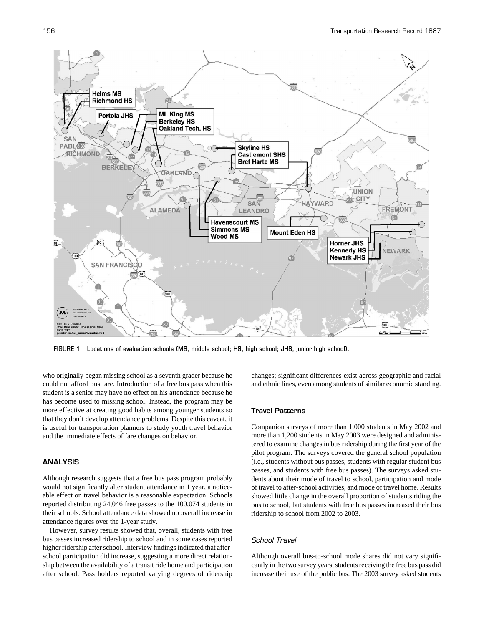

**FIGURE 1 Locations of evaluation schools (MS, middle school; HS, high school; JHS, junior high school).**

who originally began missing school as a seventh grader because he could not afford bus fare. Introduction of a free bus pass when this student is a senior may have no effect on his attendance because he has become used to missing school. Instead, the program may be more effective at creating good habits among younger students so that they don't develop attendance problems. Despite this caveat, it is useful for transportation planners to study youth travel behavior and the immediate effects of fare changes on behavior.

# **ANALYSIS**

Although research suggests that a free bus pass program probably would not significantly alter student attendance in 1 year, a noticeable effect on travel behavior is a reasonable expectation. Schools reported distributing 24,046 free passes to the 100,074 students in their schools. School attendance data showed no overall increase in attendance figures over the 1-year study.

However, survey results showed that, overall, students with free bus passes increased ridership to school and in some cases reported higher ridership after school. Interview findings indicated that afterschool participation did increase, suggesting a more direct relationship between the availability of a transit ride home and participation after school. Pass holders reported varying degrees of ridership changes; significant differences exist across geographic and racial and ethnic lines, even among students of similar economic standing.

## **Travel Patterns**

Companion surveys of more than 1,000 students in May 2002 and more than 1,200 students in May 2003 were designed and administered to examine changes in bus ridership during the first year of the pilot program. The surveys covered the general school population (i.e., students without bus passes, students with regular student bus passes, and students with free bus passes). The surveys asked students about their mode of travel to school, participation and mode of travel to after-school activities, and mode of travel home. Results showed little change in the overall proportion of students riding the bus to school, but students with free bus passes increased their bus ridership to school from 2002 to 2003.

# *School Travel*

Although overall bus-to-school mode shares did not vary significantly in the two survey years, students receiving the free bus pass did increase their use of the public bus. The 2003 survey asked students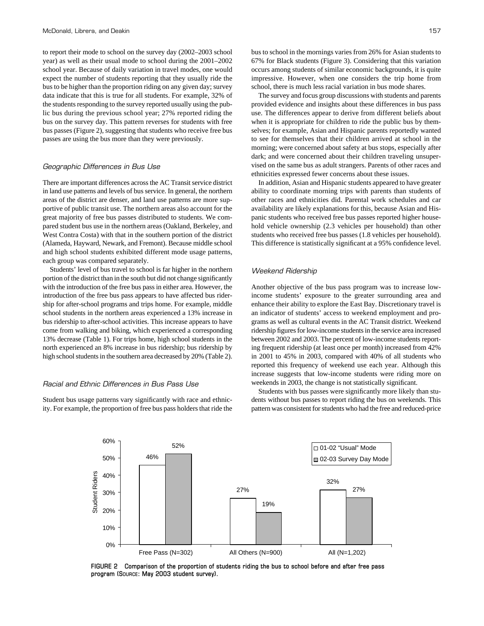to report their mode to school on the survey day (2002–2003 school year) as well as their usual mode to school during the 2001–2002 school year. Because of daily variation in travel modes, one would expect the number of students reporting that they usually ride the bus to be higher than the proportion riding on any given day; survey data indicate that this is true for all students. For example, 32% of the students responding to the survey reported usually using the public bus during the previous school year; 27% reported riding the bus on the survey day. This pattern reverses for students with free bus passes (Figure 2), suggesting that students who receive free bus passes are using the bus more than they were previously.

#### *Geographic Differences in Bus Use*

There are important differences across the AC Transit service district in land use patterns and levels of bus service. In general, the northern areas of the district are denser, and land use patterns are more supportive of public transit use. The northern areas also account for the great majority of free bus passes distributed to students. We compared student bus use in the northern areas (Oakland, Berkeley, and West Contra Costa) with that in the southern portion of the district (Alameda, Hayward, Newark, and Fremont). Because middle school and high school students exhibited different mode usage patterns, each group was compared separately.

Students' level of bus travel to school is far higher in the northern portion of the district than in the south but did not change significantly with the introduction of the free bus pass in either area. However, the introduction of the free bus pass appears to have affected bus ridership for after-school programs and trips home. For example, middle school students in the northern areas experienced a 13% increase in bus ridership to after-school activities. This increase appears to have come from walking and biking, which experienced a corresponding 13% decrease (Table 1). For trips home, high school students in the north experienced an 8% increase in bus ridership; bus ridership by high school students in the southern area decreased by 20% (Table 2).

## *Racial and Ethnic Differences in Bus Pass Use*

Student bus usage patterns vary significantly with race and ethnicity. For example, the proportion of free bus pass holders that ride the bus to school in the mornings varies from 26% for Asian students to 67% for Black students (Figure 3). Considering that this variation occurs among students of similar economic backgrounds, it is quite impressive. However, when one considers the trip home from school, there is much less racial variation in bus mode shares.

The survey and focus group discussions with students and parents provided evidence and insights about these differences in bus pass use. The differences appear to derive from different beliefs about when it is appropriate for children to ride the public bus by themselves; for example, Asian and Hispanic parents reportedly wanted to see for themselves that their children arrived at school in the morning; were concerned about safety at bus stops, especially after dark; and were concerned about their children traveling unsupervised on the same bus as adult strangers. Parents of other races and ethnicities expressed fewer concerns about these issues.

In addition, Asian and Hispanic students appeared to have greater ability to coordinate morning trips with parents than students of other races and ethnicities did. Parental work schedules and car availability are likely explanations for this, because Asian and Hispanic students who received free bus passes reported higher household vehicle ownership (2.3 vehicles per household) than other students who received free bus passes (1.8 vehicles per household). This difference is statistically significant at a 95% confidence level.

#### *Weekend Ridership*

Another objective of the bus pass program was to increase lowincome students' exposure to the greater surrounding area and enhance their ability to explore the East Bay. Discretionary travel is an indicator of students' access to weekend employment and programs as well as cultural events in the AC Transit district. Weekend ridership figures for low-income students in the service area increased between 2002 and 2003. The percent of low-income students reporting frequent ridership (at least once per month) increased from 42% in 2001 to 45% in 2003, compared with 40% of all students who reported this frequency of weekend use each year. Although this increase suggests that low-income students were riding more on weekends in 2003, the change is not statistically significant.

Students with bus passes were significantly more likely than students without bus passes to report riding the bus on weekends. This pattern was consistent for students who had the free and reduced-price



**FIGURE 2 Comparison of the proportion of students riding the bus to school before and after free pass program (SOURCE: May 2003 student survey).**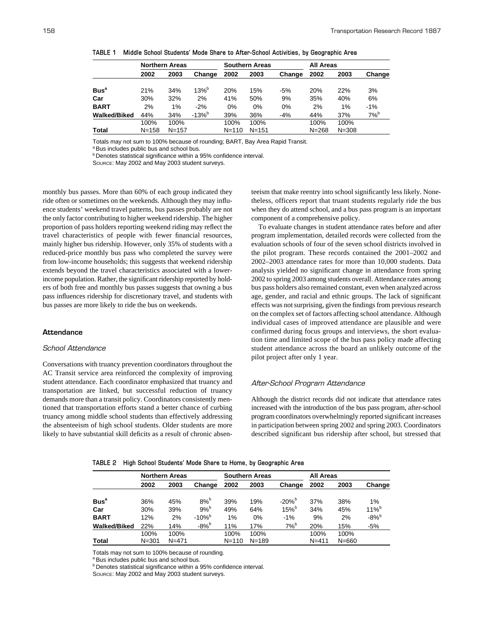|                  | <b>Northern Areas</b> |           |            | <b>Southern Areas</b> |           |        | <b>All Areas</b> |           |                    |
|------------------|-----------------------|-----------|------------|-----------------------|-----------|--------|------------------|-----------|--------------------|
|                  | 2002                  | 2003      | Change     | 2002                  | 2003      | Change | 2002             | 2003      | Change             |
| Bus <sup>a</sup> | 21%                   | 34%       | $13%^{b}$  | 20%                   | 15%       | $-5%$  | 20%              | 22%       | 3%                 |
| Car              | 30%                   | 32%       | 2%         | 41%                   | 50%       | 9%     | 35%              | 40%       | 6%                 |
| <b>BART</b>      | 2%                    | 1%        | $-2%$      | $0\%$                 | 0%        | 0%     | 2%               | $1\%$     | $-1%$              |
| Walked/Biked     | 44%                   | 34%       | $-13%^{b}$ | 39%                   | 36%       | $-4%$  | 44%              | 37%       | $7\%$ <sup>b</sup> |
|                  | 100%                  | 100%      |            | 100%                  | 100%      |        | 100%             | 100%      |                    |
| Total            | $N = 158$             | $N = 157$ |            | $N = 110$             | $N = 151$ |        | $N = 268$        | $N = 308$ |                    |

**TABLE 1 Middle School Students' Mode Share to After-School Activities, by Geographic Area**

Totals may not sum to 100% because of rounding; BART, Bay Area Rapid Transit.

a Bus includes public bus and school bus.

**b** Denotes statistical significance within a 95% confidence interval.

SOURCE: May 2002 and May 2003 student surveys.

monthly bus passes. More than 60% of each group indicated they ride often or sometimes on the weekends. Although they may influence students' weekend travel patterns, bus passes probably are not the only factor contributing to higher weekend ridership. The higher proportion of pass holders reporting weekend riding may reflect the travel characteristics of people with fewer financial resources, mainly higher bus ridership. However, only 35% of students with a reduced-price monthly bus pass who completed the survey were from low-income households; this suggests that weekend ridership extends beyond the travel characteristics associated with a lowerincome population. Rather, the significant ridership reported by holders of both free and monthly bus passes suggests that owning a bus pass influences ridership for discretionary travel, and students with bus passes are more likely to ride the bus on weekends.

# **Attendance**

## *School Attendance*

Conversations with truancy prevention coordinators throughout the AC Transit service area reinforced the complexity of improving student attendance. Each coordinator emphasized that truancy and transportation are linked, but successful reduction of truancy demands more than a transit policy. Coordinators consistently mentioned that transportation efforts stand a better chance of curbing truancy among middle school students than effectively addressing the absenteeism of high school students. Older students are more likely to have substantial skill deficits as a result of chronic absenteeism that make reentry into school significantly less likely. Nonetheless, officers report that truant students regularly ride the bus when they do attend school, and a bus pass program is an important component of a comprehensive policy.

To evaluate changes in student attendance rates before and after program implementation, detailed records were collected from the evaluation schools of four of the seven school districts involved in the pilot program. These records contained the 2001–2002 and 2002–2003 attendance rates for more than 10,000 students. Data analysis yielded no significant change in attendance from spring 2002 to spring 2003 among students overall. Attendance rates among bus pass holders also remained constant, even when analyzed across age, gender, and racial and ethnic groups. The lack of significant effects was not surprising, given the findings from previous research on the complex set of factors affecting school attendance. Although individual cases of improved attendance are plausible and were confirmed during focus groups and interviews, the short evaluation time and limited scope of the bus pass policy made affecting student attendance across the board an unlikely outcome of the pilot project after only 1 year.

#### *After-School Program Attendance*

Although the district records did not indicate that attendance rates increased with the introduction of the bus pass program, after-school program coordinators overwhelmingly reported significant increases in participation between spring 2002 and spring 2003. Coordinators described significant bus ridership after school, but stressed that

|                     | <b>Northern Areas</b> |           |                      | <b>Southern Areas</b> |           |              | <b>All Areas</b> |           |                |
|---------------------|-----------------------|-----------|----------------------|-----------------------|-----------|--------------|------------------|-----------|----------------|
|                     | 2002                  | 2003      | Change               | 2002                  | 2003      | Change       | 2002             | 2003      | Change         |
| Bus <sup>a</sup>    | 36%                   | 45%       | $8\%^b$              | 39%                   | 19%       | $-20%^{b}$   | 37%              | 38%       | 1%             |
| Car                 | 30%                   | 39%       | $9%^{b}$             | 49%                   | 64%       | $15%^{b}$    | 34%              | 45%       | $11\%^{\rm b}$ |
| <b>BART</b>         | 12%                   | 2%        | $-10\%$ <sup>b</sup> | 1%                    | 0%        | $-1%$        | 9%               | 2%        | $-8%^{b}$      |
| <b>Walked/Biked</b> | 22%                   | 14%       | $-8%^{b}$            | 11%                   | 17%       | $7%^{\rm b}$ | 20%              | 15%       | $-5%$          |
|                     | 100%                  | 100%      |                      | 100%                  | 100%      |              | 100%             | 100%      |                |
| <b>Total</b>        | $N = 301$             | $N = 471$ |                      | $N = 110$             | $N = 189$ |              | $N = 411$        | $N = 660$ |                |

**TABLE 2 High School Students' Mode Share to Home, by Geographic Area**

Totals may not sum to 100% because of rounding.

<sup>a</sup> Bus includes public bus and school bus.

**b** Denotes statistical significance within a 95% confidence interval.

SOURCE: May 2002 and May 2003 student surveys.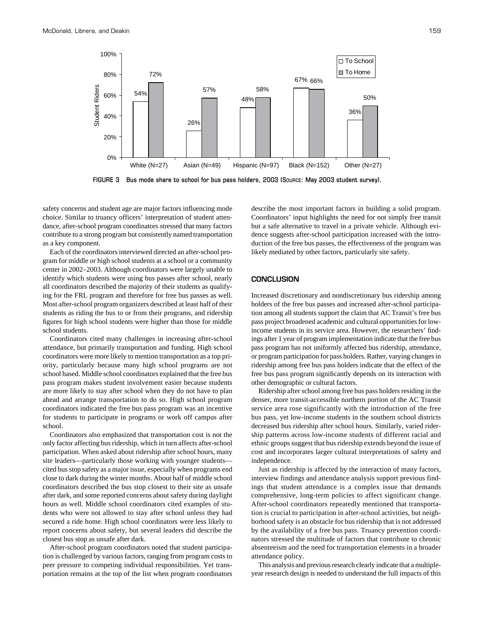

**FIGURE 3 Bus mode share to school for bus pass holders, 2003 (SOURCE: May 2003 student survey).**

safety concerns and student age are major factors influencing mode choice. Similar to truancy officers' interpretation of student attendance, after-school program coordinators stressed that many factors contribute to a strong program but consistently named transportation as a key component.

Each of the coordinators interviewed directed an after-school program for middle or high school students at a school or a community center in 2002–2003. Although coordinators were largely unable to identify which students were using bus passes after school, nearly all coordinators described the majority of their students as qualifying for the FRL program and therefore for free bus passes as well. Most after-school program organizers described at least half of their students as riding the bus to or from their programs, and ridership figures for high school students were higher than those for middle school students.

Coordinators cited many challenges in increasing after-school attendance, but primarily transportation and funding. High school coordinators were more likely to mention transportation as a top priority, particularly because many high school programs are not school based. Middle school coordinators explained that the free bus pass program makes student involvement easier because students are more likely to stay after school when they do not have to plan ahead and arrange transportation to do so. High school program coordinators indicated the free bus pass program was an incentive for students to participate in programs or work off campus after school.

Coordinators also emphasized that transportation cost is not the only factor affecting bus ridership, which in turn affects after-school participation. When asked about ridership after school hours, many site leaders—particularly those working with younger students cited bus stop safety as a major issue, especially when programs end close to dark during the winter months. About half of middle school coordinators described the bus stop closest to their site as unsafe after dark, and some reported concerns about safety during daylight hours as well. Middle school coordinators cited examples of students who were not allowed to stay after school unless they had secured a ride home. High school coordinators were less likely to report concerns about safety, but several leaders did describe the closest bus stop as unsafe after dark.

After-school program coordinators noted that student participation is challenged by various factors, ranging from program costs to peer pressure to competing individual responsibilities. Yet transportation remains at the top of the list when program coordinators

describe the most important factors in building a solid program. Coordinators' input highlights the need for not simply free transit but a safe alternative to travel in a private vehicle. Although evidence suggests after-school participation increased with the introduction of the free bus passes, the effectiveness of the program was likely mediated by other factors, particularly site safety.

## **CONCLUSION**

Increased discretionary and nondiscretionary bus ridership among holders of the free bus passes and increased after-school participation among all students support the claim that AC Transit's free bus pass project broadened academic and cultural opportunities for lowincome students in its service area. However, the researchers' findings after 1 year of program implementation indicate that the free bus pass program has not uniformly affected bus ridership, attendance, or program participation for pass holders. Rather, varying changes in ridership among free bus pass holders indicate that the effect of the free bus pass program significantly depends on its interaction with other demographic or cultural factors.

Ridership after school among free bus pass holders residing in the denser, more transit-accessible northern portion of the AC Transit service area rose significantly with the introduction of the free bus pass, yet low-income students in the southern school districts decreased bus ridership after school hours. Similarly, varied ridership patterns across low-income students of different racial and ethnic groups suggest that bus ridership extends beyond the issue of cost and incorporates larger cultural interpretations of safety and independence.

Just as ridership is affected by the interaction of many factors, interview findings and attendance analysis support previous findings that student attendance is a complex issue that demands comprehensive, long-term policies to affect significant change. After-school coordinators repeatedly mentioned that transportation is crucial to participation in after-school activities, but neighborhood safety is an obstacle for bus ridership that is not addressed by the availability of a free bus pass. Truancy prevention coordinators stressed the multitude of factors that contribute to chronic absenteeism and the need for transportation elements in a broader attendance policy.

This analysis and previous research clearly indicate that a multipleyear research design is needed to understand the full impacts of this